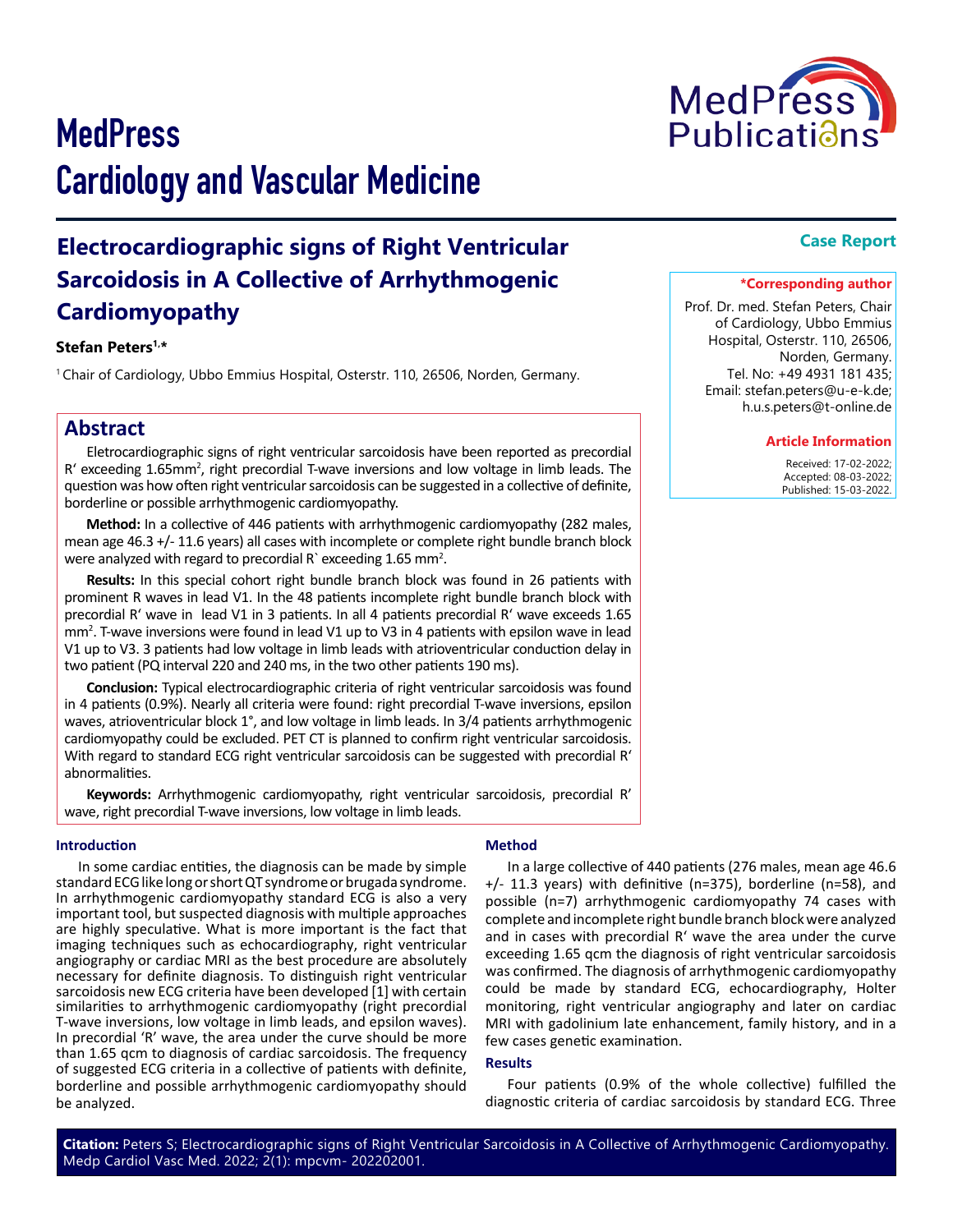

# **Electrocardiographic signs of Right Ventricular Sarcoidosis in A Collective of Arrhythmogenic Cardiomyopathy**

### **Stefan Peters1,\***

<sup>1</sup> Chair of Cardiology, Ubbo Emmius Hospital, Osterstr. 110, 26506, Norden, Germany.

# **Abstract**

Eletrocardiographic signs of right ventricular sarcoidosis have been reported as precordial R' exceeding 1.65mm<sup>2</sup>, right precordial T-wave inversions and low voltage in limb leads. The question was how often right ventricular sarcoidosis can be suggested in a collective of definite, borderline or possible arrhythmogenic cardiomyopathy.

**Method:** In a collective of 446 patients with arrhythmogenic cardiomyopathy (282 males, mean age 46.3 +/- 11.6 years) all cases with incomplete or complete right bundle branch block were analyzed with regard to precordial R exceeding  $1.65$  mm<sup>2</sup>.

**Results:** In this special cohort right bundle branch block was found in 26 patients with prominent R waves in lead V1. In the 48 patients incomplete right bundle branch block with precordial R' wave in lead V1 in 3 patients. In all 4 patients precordial R' wave exceeds 1.65 mm<sup>2</sup>. T-wave inversions were found in lead V1 up to V3 in 4 patients with epsilon wave in lead V1 up to V3. 3 patients had low voltage in limb leads with atrioventricular conduction delay in two patient (PQ interval 220 and 240 ms, in the two other patients 190 ms).

**Conclusion:** Typical electrocardiographic criteria of right ventricular sarcoidosis was found in 4 patients (0.9%). Nearly all criteria were found: right precordial T-wave inversions, epsilon waves, atrioventricular block 1°, and low voltage in limb leads. In 3/4 patients arrhythmogenic cardiomyopathy could be excluded. PET CT is planned to confirm right ventricular sarcoidosis. With regard to standard ECG right ventricular sarcoidosis can be suggested with precordial R' abnormalities.

**Keywords:** Arrhythmogenic cardiomyopathy, right ventricular sarcoidosis, precordial R' wave, right precordial T-wave inversions, low voltage in limb leads.

#### **Introduction**

In some cardiac entities, the diagnosis can be made by simple standard ECG like long or short QT syndrome or brugada syndrome. In arrhythmogenic cardiomyopathy standard ECG is also a very important tool, but suspected diagnosis with multiple approaches are highly speculative. What is more important is the fact that imaging techniques such as echocardiography, right ventricular angiography or cardiac MRI as the best procedure are absolutely necessary for definite diagnosis. To distinguish right ventricular sarcoidosis new ECG criteria have been developed [1] with certain similarities to arrhythmogenic cardiomyopathy (right precordial T-wave inversions, low voltage in limb leads, and epsilon waves). In precordial 'R' wave, the area under the curve should be more than 1.65 qcm to diagnosis of cardiac sarcoidosis. The frequency of suggested ECG criteria in a collective of patients with definite, borderline and possible arrhythmogenic cardiomyopathy should be analyzed.

#### **Method**

In a large collective of 440 patients (276 males, mean age 46.6 +/- 11.3 years) with definitive (n=375), borderline (n=58), and possible (n=7) arrhythmogenic cardiomyopathy 74 cases with complete and incomplete right bundle branch block were analyzed and in cases with precordial R' wave the area under the curve exceeding 1.65 qcm the diagnosis of right ventricular sarcoidosis was confirmed. The diagnosis of arrhythmogenic cardiomyopathy could be made by standard ECG, echocardiography, Holter monitoring, right ventricular angiography and later on cardiac MRI with gadolinium late enhancement, family history, and in a few cases genetic examination.

#### **Results**

Four patients (0.9% of the whole collective) fulfilled the diagnostic criteria of cardiac sarcoidosis by standard ECG. Three

**Citation:** Peters S; Electrocardiographic signs of Right Ventricular Sarcoidosis in A Collective of Arrhythmogenic Cardiomyopathy. Medp Cardiol Vasc Med. 2022; 2(1): mpcvm- 202202001.

# **Case Report**

#### **\*Corresponding author**

Prof. Dr. med. Stefan Peters, Chair of Cardiology, Ubbo Emmius Hospital, Osterstr. 110, 26506, Norden, Germany. Tel. No: +49 4931 181 435; Email: stefan.peters@u-e-k.de; h.u.s.peters@t-online.de

#### **Article Information**

 Received: 17-02-2022; Accepted: 08-03-2022; Published: 15-03-2022.

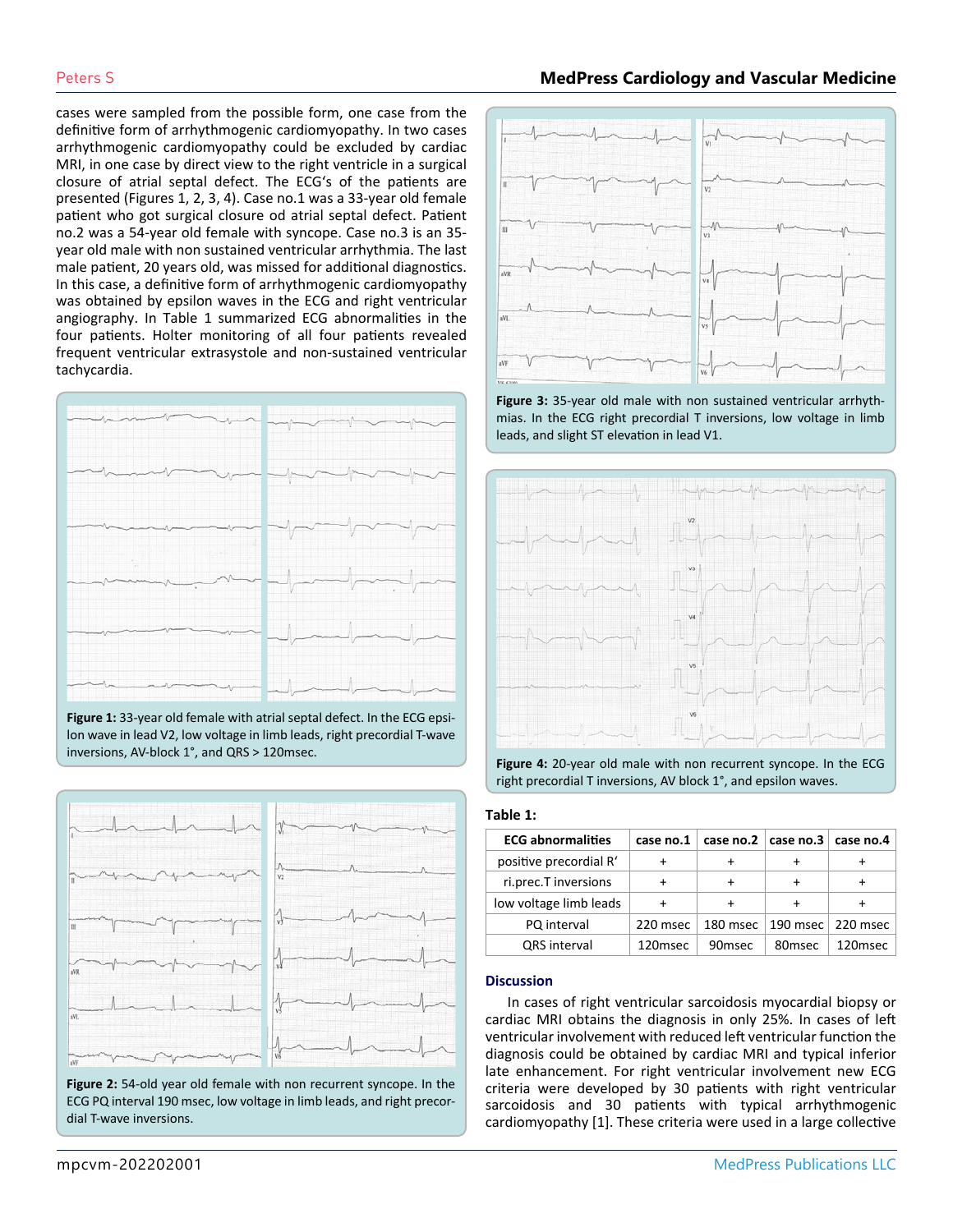# Peters S **MedPress Cardiology and Vascular Medicine**

cases were sampled from the possible form, one case from the definitive form of arrhythmogenic cardiomyopathy. In two cases arrhythmogenic cardiomyopathy could be excluded by cardiac MRI, in one case by direct view to the right ventricle in a surgical closure of atrial septal defect. The ECG's of the patients are presented (Figures 1, 2, 3, 4). Case no.1 was a 33-year old female patient who got surgical closure od atrial septal defect. Patient no.2 was a 54-year old female with syncope. Case no.3 is an 35 year old male with non sustained ventricular arrhythmia. The last male patient, 20 years old, was missed for additional diagnostics. In this case, a definitive form of arrhythmogenic cardiomyopathy was obtained by epsilon waves in the ECG and right ventricular angiography. In Table 1 summarized ECG abnormalities in the four patients. Holter monitoring of all four patients revealed frequent ventricular extrasystole and non-sustained ventricular tachycardia.



**Figure 1:** 33-year old female with atrial septal defect. In the ECG epsilon wave in lead V2, low voltage in limb leads, right precordial T-wave inversions, AV-block 1°, and QRS > 120msec.



**Figure 2:** 54-old year old female with non recurrent syncope. In the ECG PQ interval 190 msec, low voltage in limb leads, and right precordial T-wave inversions.



**Figure 3:** 35-year old male with non sustained ventricular arrhythmias. In the ECG right precordial T inversions, low voltage in limb leads, and slight ST elevation in lead V1.



**Figure 4:** 20-year old male with non recurrent syncope. In the ECG right precordial T inversions, AV block 1°, and epsilon waves.

### **Table 1:**

| <b>ECG abnormalities</b> | case no.1 |                    | case no.2 $ $ case no.3 $ $ | case no.4 |
|--------------------------|-----------|--------------------|-----------------------------|-----------|
| positive precordial R'   |           | ٠                  | ٠                           |           |
| ri.prec.T inversions     |           | ÷                  | ÷                           |           |
| low voltage limb leads   |           | ÷                  | ٠                           |           |
| PQ interval              | 220 msec  | 180 msec           | 190 msec                    | 220 msec  |
| <b>QRS</b> interval      | 120msec   | 90 <sub>msec</sub> | 80msec                      | 120msec   |

### **Discussion**

In cases of right ventricular sarcoidosis myocardial biopsy or cardiac MRI obtains the diagnosis in only 25%. In cases of left ventricular involvement with reduced left ventricular function the diagnosis could be obtained by cardiac MRI and typical inferior late enhancement. For right ventricular involvement new ECG criteria were developed by 30 patients with right ventricular sarcoidosis and 30 patients with typical arrhythmogenic cardiomyopathy [1]. These criteria were used in a large collective